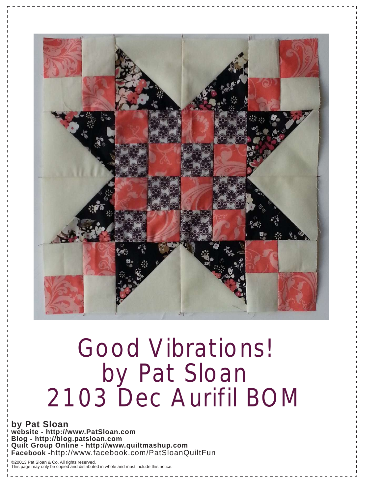

### Good Vibrations! by Pat Sloan 2103 Dec Aurifil BOM

**by Pat Sloan website - http://www.PatSloan.com Blog - http://blog.patsloan.com Quilt Group Online - http://www.quiltmashup.com Facebook -**http://www.facebook.com/PatSloanQuiltFun

©20013 Pat Sloan & Co. All rights reserved. This page may only be copied and distributed in whole and must include this notice.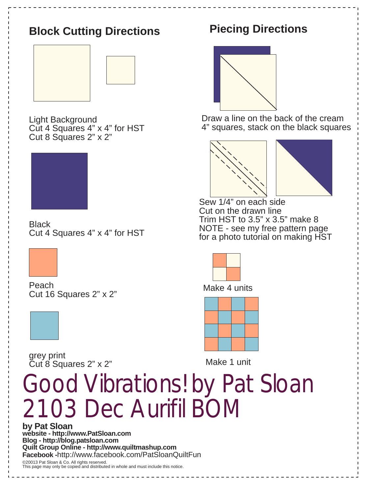

**Quilt Group Online - http://www.quiltmashup.com Facebook -**http://www.facebook.com/PatSloanQuiltFun

©20013 Pat Sloan & Co. All rights reserved. This page may only be copied and distributed in whole and must include this notice.

### **Piecing Directions**



Draw a line on the back of the cream 4" squares, stack on the black squares





Sew 1/4" on each side Cut on the drawn line Trim HST to  $3.5$ " x  $3.5$ " make  $8$ NOTE - see my free pattern page for a photo tutorial on making HST



Make 4 units



Make 1 unit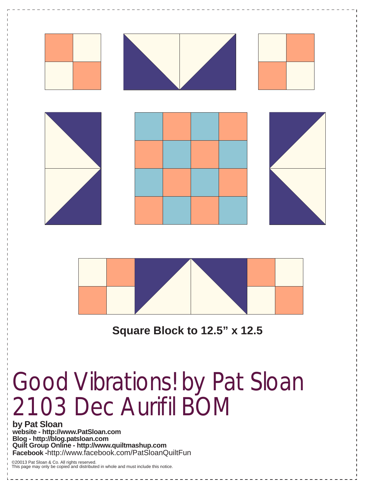



**Square Block to 12.5" x 12.5**

## Good Vibrations! by Pat Sloan 2103 Dec Aurifil BOM

**by Pat Sloan website - http://www.PatSloan.com Blog - http://blog.patsloan.com Quilt Group Online - http://www.quiltmashup.com Facebook -**http://www.facebook.com/PatSloanQuiltFun

©20013 Pat Sloan & Co. All rights reserved. This page may only be copied and distributed in whole and must include this notice.